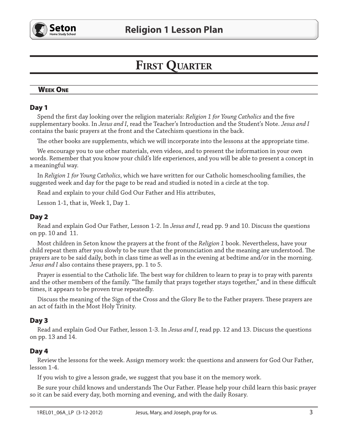

# **FIRST QUARTER**

# **WEEK ONE**

# Day 1

Spend the first day looking over the religion materials: Religion 1 for Young Catholics and the five supplementary books. In Jesus and I, read the Teacher's Introduction and the Student's Note. Jesus and I contains the basic prayers at the front and the Catechism questions in the back.

The other books are supplements, which we will incorporate into the lessons at the appropriate time.

We encourage you to use other materials, even videos, and to present the information in your own words. Remember that you know your child's life experiences, and you will be able to present a concept in a meaningful way.

In Religion 1 for Young Catholics, which we have written for our Catholic homeschooling families, the suggested week and day for the page to be read and studied is noted in a circle at the top.

Read and explain to your child God Our Father and His attributes,

Lesson 1-1, that is, Week 1, Day 1.

# Day 2

Read and explain God Our Father, Lesson 1-2. In Jesus and I, read pp. 9 and 10. Discuss the questions on pp. 10 and 11.

Most children in Seton know the prayers at the front of the Religion 1 book. Nevertheless, have your child repeat them after you slowly to be sure that the pronunciation and the meaning are understood. The prayers are to be said daily, both in class time as well as in the evening at bedtime and/or in the morning. *Jesus and I* also contains these prayers, pp. 1 to 5.

Prayer is essential to the Catholic life. The best way for children to learn to pray is to pray with parents and the other members of the family. "The family that prays together stays together," and in these difficult times, it appears to be proven true repeatedly.

Discuss the meaning of the Sign of the Cross and the Glory Be to the Father prayers. These prayers are an act of faith in the Most Holy Trinity.

# Day 3

Read and explain God Our Father, lesson 1-3. In *Jesus and I*, read pp. 12 and 13. Discuss the questions on pp. 13 and 14.

# Day 4

Review the lessons for the week. Assign memory work: the questions and answers for God Our Father, lesson 1-4.

If you wish to give a lesson grade, we suggest that you base it on the memory work.

Be sure your child knows and understands The Our Father. Please help your child learn this basic prayer so it can be said every day, both morning and evening, and with the daily Rosary.